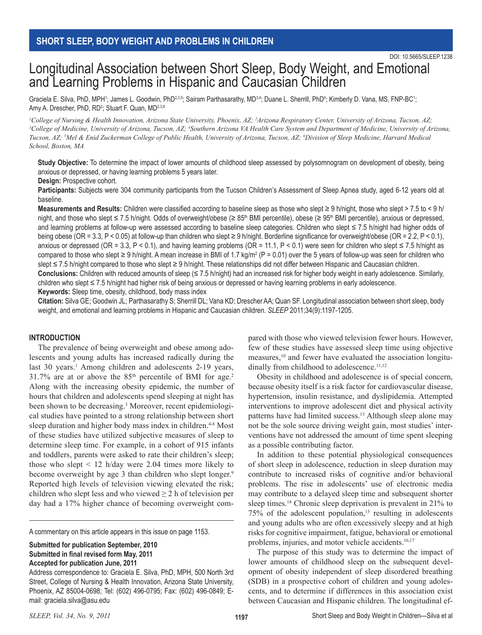# Longitudinal Association between Short Sleep, Body Weight, and Emotional and Learning Problems in Hispanic and Caucasian Children

Graciela E. Silva, PhD, MPH1; James L. Goodwin, PhD<sup>2,3,5</sup>; Sairam Parthasarathy, MD<sup>3,4</sup>; Duane L. Sherrill, PhD<sup>5</sup>; Kimberly D. Vana, MS, FNP-BC<sup>1</sup>; Amy A. Drescher, PhD, RD<sup>2</sup>; Stuart F. Quan, MD<sup>2,3,6</sup>

<sup>1</sup>College of Nursing & Health Innovation, Arizona State University, Phoenix, AZ; <sup>2</sup>Arizona Respiratory Center, University of Arizona, Tucson, AZ;<br><sup>3</sup>College of Medicine, University of Arizona, Tucson, AZ: <sup>4</sup>Southern Ari College of Medicine, University of Arizona, Tucson, AZ; <sup>4</sup>Southern Arizona VA Health Care System and Department of Medicine, University of Arizona, *Tucson, AZ; 5 Mel & Enid Zuckerman College of Public Health, University of Arizona, Tucson, AZ; 6 Division of Sleep Medicine, Harvard Medical School, Boston, MA*

**Study Objective:** To determine the impact of lower amounts of childhood sleep assessed by polysomnogram on development of obesity, being anxious or depressed, or having learning problems 5 years later.

**Design:** Prospective cohort.

**Participants:** Subjects were 304 community participants from the Tucson Children's Assessment of Sleep Apnea study, aged 6-12 years old at baseline.

**Measurements and Results:** Children were classified according to baseline sleep as those who slept ≥ 9 h/night, those who slept > 7.5 to < 9 h/ night, and those who slept ≤ 7.5 h/night. Odds of overweight/obese (≥ 85<sup>th</sup> BMI percentile), obese (≥ 95<sup>th</sup> BMI percentile), anxious or depressed, and learning problems at follow-up were assessed according to baseline sleep categories. Children who slept ≤ 7.5 h/night had higher odds of being obese (OR = 3.3, P < 0.05) at follow-up than children who slept ≥ 9 h/night. Borderline significance for overweight/obese (OR = 2.2, P < 0.1), anxious or depressed (OR = 3.3, P < 0.1), and having learning problems (OR = 11.1, P < 0.1) were seen for children who slept  $\leq$  7.5 h/night as compared to those who slept ≥ 9 h/night. A mean increase in BMI of 1.7 kg/m² (P = 0.01) over the 5 years of follow-up was seen for children who slept ≤ 7.5 h/night compared to those who slept ≥ 9 h/night. These relationships did not differ between Hispanic and Caucasian children. **Conclusions:** Children with reduced amounts of sleep (≤ 7.5 h/night) had an increased risk for higher body weight in early adolescence. Similarly, children who slept ≤ 7.5 h/night had higher risk of being anxious or depressed or having learning problems in early adolescence. **Keywords:** Sleep time, obesity, childhood, body mass index

**Citation:** Silva GE; Goodwin JL; Parthasarathy S; Sherrill DL; Vana KD; Drescher AA; Quan SF. Longitudinal association between short sleep, body weight, and emotional and learning problems in Hispanic and Caucasian children. *SLEEP* 2011;34(9):1197-1205.

### **INTRODUCTION**

The prevalence of being overweight and obese among adolescents and young adults has increased radically during the last 30 years.<sup>1</sup> Among children and adolescents 2-19 years, 31.7% are at or above the  $85<sup>th</sup>$  percentile of BMI for age.<sup>2</sup> Along with the increasing obesity epidemic, the number of hours that children and adolescents spend sleeping at night has been shown to be decreasing.<sup>3</sup> Moreover, recent epidemiological studies have pointed to a strong relationship between short sleep duration and higher body mass index in children.<sup>4-8</sup> Most of these studies have utilized subjective measures of sleep to determine sleep time. For example, in a cohort of 915 infants and toddlers, parents were asked to rate their children's sleep; those who slept  $\leq$  12 h/day were 2.04 times more likely to become overweight by age 3 than children who slept longer.<sup>9</sup> Reported high levels of television viewing elevated the risk; children who slept less and who viewed  $\geq 2$  h of television per day had a 17% higher chance of becoming overweight com-

A commentary on this article appears in this issue on page 1153.

**Submitted for publication September, 2010 Submitted in final revised form May, 2011 Accepted for publication June, 2011**

Address correspondence to: Graciela E. Silva, PhD, MPH, 500 North 3rd Street, College of Nursing & Health Innovation, Arizona State University, Phoenix, AZ 85004-0698; Tel: (602) 496-0795; Fax: (602) 496-0849; Email: graciela.silva@asu.edu

pared with those who viewed television fewer hours. However, few of these studies have assessed sleep time using objective measures,<sup>10</sup> and fewer have evaluated the association longitudinally from childhood to adolescence.<sup>11,12</sup>

Obesity in childhood and adolescence is of special concern, because obesity itself is a risk factor for cardiovascular disease, hypertension, insulin resistance, and dyslipidemia. Attempted interventions to improve adolescent diet and physical activity patterns have had limited success.13 Although sleep alone may not be the sole source driving weight gain, most studies' interventions have not addressed the amount of time spent sleeping as a possible contributing factor.

In addition to these potential physiological consequences of short sleep in adolescence, reduction in sleep duration may contribute to increased risks of cognitive and/or behavioral problems. The rise in adolescents' use of electronic media may contribute to a delayed sleep time and subsequent shorter sleep times.<sup>14</sup> Chronic sleep deprivation is prevalent in 21% to 75% of the adolescent population,<sup>15</sup> resulting in adolescents and young adults who are often excessively sleepy and at high risks for cognitive impairment, fatigue, behavioral or emotional problems, injuries, and motor vehicle accidents.<sup>16,17</sup>

The purpose of this study was to determine the impact of lower amounts of childhood sleep on the subsequent development of obesity independent of sleep disordered breathing (SDB) in a prospective cohort of children and young adolescents, and to determine if differences in this association exist between Caucasian and Hispanic children. The longitudinal ef-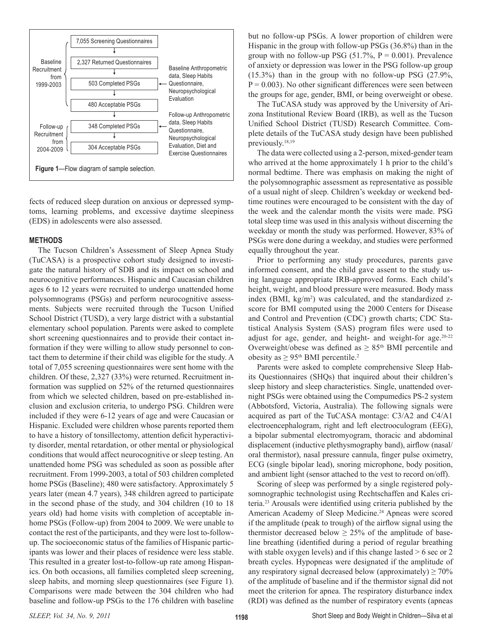

fects of reduced sleep duration on anxious or depressed symptoms, learning problems, and excessive daytime sleepiness (EDS) in adolescents were also assessed.

#### **METHODS**

The Tucson Children's Assessment of Sleep Apnea Study (TuCASA) is a prospective cohort study designed to investigate the natural history of SDB and its impact on school and neurocognitive performances. Hispanic and Caucasian children ages 6 to 12 years were recruited to undergo unattended home polysomnograms (PSGs) and perform neurocognitive assessments. Subjects were recruited through the Tucson Unified School District (TUSD), a very large district with a substantial elementary school population. Parents were asked to complete short screening questionnaires and to provide their contact information if they were willing to allow study personnel to contact them to determine if their child was eligible for the study. A total of 7,055 screening questionnaires were sent home with the children. Of these, 2,327 (33%) were returned. Recruitment information was supplied on 52% of the returned questionnaires from which we selected children, based on pre-established inclusion and exclusion criteria, to undergo PSG. Children were included if they were 6-12 years of age and were Caucasian or Hispanic. Excluded were children whose parents reported them to have a history of tonsillectomy, attention deficit hyperactivity disorder, mental retardation, or other mental or physiological conditions that would affect neurocognitive or sleep testing. An unattended home PSG was scheduled as soon as possible after recruitment. From 1999-2003, a total of 503 children completed home PSGs (Baseline); 480 were satisfactory. Approximately 5 years later (mean 4.7 years), 348 children agreed to participate in the second phase of the study, and 304 children (10 to 18 years old) had home visits with completion of acceptable inhome PSGs (Follow-up) from 2004 to 2009. We were unable to contact the rest of the participants, and they were lost to-followup. The socioeconomic status of the families of Hispanic participants was lower and their places of residence were less stable. This resulted in a greater lost-to-follow-up rate among Hispanics. On both occasions, all families completed sleep screening, sleep habits, and morning sleep questionnaires (see Figure 1). Comparisons were made between the 304 children who had baseline and follow-up PSGs to the 176 children with baseline

but no follow-up PSGs. A lower proportion of children were Hispanic in the group with follow-up PSGs (36.8%) than in the group with no follow-up PSG  $(51.7\%, P = 0.001)$ . Prevalence of anxiety or depression was lower in the PSG follow-up group (15.3%) than in the group with no follow-up PSG (27.9%,  $P = 0.003$ ). No other significant differences were seen between the groups for age, gender, BMI, or being overweight or obese.

The TuCASA study was approved by the University of Arizona Institutional Review Board (IRB), as well as the Tucson Unified School District (TUSD) Research Committee. Complete details of the TuCASA study design have been published previously.18,19

The data were collected using a 2-person, mixed-gender team who arrived at the home approximately 1 h prior to the child's normal bedtime. There was emphasis on making the night of the polysomnographic assessment as representative as possible of a usual night of sleep. Children's weekday or weekend bedtime routines were encouraged to be consistent with the day of the week and the calendar month the visits were made. PSG total sleep time was used in this analysis without discerning the weekday or month the study was performed. However, 83% of PSGs were done during a weekday, and studies were performed equally throughout the year.

Prior to performing any study procedures, parents gave informed consent, and the child gave assent to the study using language appropriate IRB-approved forms. Each child's height, weight, and blood pressure were measured. Body mass index (BMI, kg/m<sup>2</sup>) was calculated, and the standardized zscore for BMI computed using the 2000 Centers for Disease and Control and Prevention (CDC) growth charts; CDC Statistical Analysis System (SAS) program files were used to adjust for age, gender, and height- and weight-for age.20-22 Overweight/obese was defined as  $\geq 85$ <sup>th</sup> BMI percentile and obesity as  $\geq$  95<sup>th</sup> BMI percentile.<sup>2</sup>

Parents were asked to complete comprehensive Sleep Habits Questionnaires (SHQs) that inquired about their children's sleep history and sleep characteristics. Single, unattended overnight PSGs were obtained using the Compumedics PS-2 system (Abbotsford, Victoria, Australia). The following signals were acquired as part of the TuCASA montage: C3/A2 and C4/A1 electroencephalogram, right and left electrooculogram (EEG), a bipolar submental electromyogram, thoracic and abdominal displacement (inductive plethysmography band), airflow (nasal/ oral thermistor), nasal pressure cannula, finger pulse oximetry, ECG (single bipolar lead), snoring microphone, body position, and ambient light (sensor attached to the vest to record on/off).

Scoring of sleep was performed by a single registered polysomnographic technologist using Rechtschaffen and Kales criteria.23 Arousals were identified using criteria published by the American Academy of Sleep Medicine.<sup>24</sup> Apneas were scored if the amplitude (peak to trough) of the airflow signal using the thermistor decreased below  $\geq$  25% of the amplitude of baseline breathing (identified during a period of regular breathing with stable oxygen levels) and if this change lasted  $> 6$  sec or 2 breath cycles. Hypopneas were designated if the amplitude of any respiratory signal decreased below (approximately)  $\geq 70\%$ of the amplitude of baseline and if the thermistor signal did not meet the criterion for apnea. The respiratory disturbance index (RDI) was defined as the number of respiratory events (apneas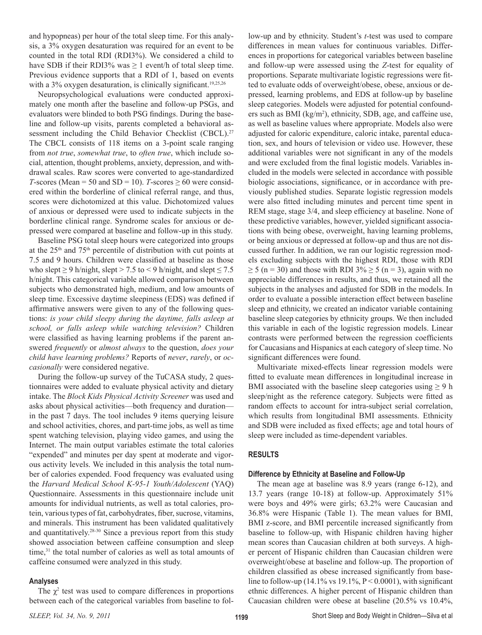and hypopneas) per hour of the total sleep time. For this analysis, a 3% oxygen desaturation was required for an event to be counted in the total RDI (RDI3%). We considered a child to have SDB if their RDI3% was  $\geq 1$  event/h of total sleep time. Previous evidence supports that a RDI of 1, based on events with a  $3\%$  oxygen desaturation, is clinically significant.<sup>19,25,26</sup>

Neuropsychological evaluations were conducted approximately one month after the baseline and follow-up PSGs, and evaluators were blinded to both PSG findings. During the baseline and follow-up visits, parents completed a behavioral assessment including the Child Behavior Checklist (CBCL).<sup>27</sup> The CBCL consists of 118 items on a 3-point scale ranging from *not true*, *somewhat true*, to *often true*, which include social, attention, thought problems, anxiety, depression, and withdrawal scales. Raw scores were converted to age-standardized *T*-scores (Mean = 50 and SD = 10). *T*-scores  $\geq$  60 were considered within the borderline of clinical referral range, and thus, scores were dichotomized at this value. Dichotomized values of anxious or depressed were used to indicate subjects in the borderline clinical range. Syndrome scales for anxious or depressed were compared at baseline and follow-up in this study.

Baseline PSG total sleep hours were categorized into groups at the  $25<sup>th</sup>$  and  $75<sup>th</sup>$  percentile of distribution with cut points at 7.5 and 9 hours. Children were classified at baseline as those who slept  $\geq$  9 h/night, slept  $>$  7.5 to  $\lt$  9 h/night, and slept  $\leq$  7.5 h/night. This categorical variable allowed comparison between subjects who demonstrated high, medium, and low amounts of sleep time. Excessive daytime sleepiness (EDS) was defined if affirmative answers were given to any of the following questions: *is your child sleepy during the daytime, falls asleep at school, or falls asleep while watching television?* Children were classified as having learning problems if the parent answered *frequently* or *almost always* to the question, *does your child have learning problems?* Reports of *never*, *rarely*, or *occasionally* were considered negative.

During the follow-up survey of the TuCASA study, 2 questionnaires were added to evaluate physical activity and dietary intake. The *Block Kids Physical Activity Screener* was used and asks about physical activities—both frequency and duration in the past 7 days. The tool includes 9 items querying leisure and school activities, chores, and part-time jobs, as well as time spent watching television, playing video games, and using the Internet. The main output variables estimate the total calories "expended" and minutes per day spent at moderate and vigorous activity levels. We included in this analysis the total number of calories expended. Food frequency was evaluated using the *Harvard Medical School K-95-1 Youth/Adolescent* (YAQ) Questionnaire. Assessments in this questionnaire include unit amounts for individual nutrients, as well as total calories, protein, various types of fat, carbohydrates, fiber, sucrose, vitamins, and minerals. This instrument has been validated qualitatively and quantitatively.28-30 Since a previous report from this study showed association between caffeine consumption and sleep time,31 the total number of calories as well as total amounts of caffeine consumed were analyzed in this study.

## **Analyses**

The  $\chi^2$  test was used to compare differences in proportions between each of the categorical variables from baseline to fol-

low-up and by ethnicity. Student's *t-*test was used to compare differences in mean values for continuous variables. Differences in proportions for categorical variables between baseline and follow-up were assessed using the *Z*-test for equality of proportions. Separate multivariate logistic regressions were fitted to evaluate odds of overweight/obese, obese, anxious or depressed, learning problems, and EDS at follow-up by baseline sleep categories. Models were adjusted for potential confounders such as BMI (kg/m<sup>2</sup>), ethnicity, SDB, age, and caffeine use, as well as baseline values where appropriate. Models also were adjusted for caloric expenditure, caloric intake, parental education, sex, and hours of television or video use. However, these additional variables were not significant in any of the models and were excluded from the final logistic models. Variables included in the models were selected in accordance with possible biologic associations, significance, or in accordance with previously published studies. Separate logistic regression models were also fitted including minutes and percent time spent in REM stage, stage 3/4, and sleep efficiency at baseline. None of these predictive variables, however, yielded significant associations with being obese, overweight, having learning problems, or being anxious or depressed at follow-up and thus are not discussed further. In addition, we ran our logistic regression models excluding subjects with the highest RDI, those with RDI  $\geq$  5 (n = 30) and those with RDI 3%  $\geq$  5 (n = 3), again with no appreciable differences in results, and thus, we retained all the subjects in the analyses and adjusted for SDB in the models. In order to evaluate a possible interaction effect between baseline sleep and ethnicity, we created an indicator variable containing baseline sleep categories by ethnicity groups. We then included this variable in each of the logistic regression models. Linear contrasts were performed between the regression coefficients for Caucasians and Hispanics at each category of sleep time. No significant differences were found.

Multivariate mixed-effects linear regression models were fitted to evaluate mean differences in longitudinal increase in BMI associated with the baseline sleep categories using  $\geq 9$  h sleep/night as the reference category. Subjects were fitted as random effects to account for intra-subject serial correlation, which results from longitudinal BMI assessments. Ethnicity and SDB were included as fixed effects; age and total hours of sleep were included as time-dependent variables.

## **RESULTS**

#### **Difference by Ethnicity at Baseline and Follow-Up**

The mean age at baseline was 8.9 years (range 6-12), and 13.7 years (range 10-18) at follow-up. Approximately 51% were boys and 49% were girls; 63.2% were Caucasian and 36.8% were Hispanic (Table 1). The mean values for BMI, BMI z-score, and BMI percentile increased significantly from baseline to follow-up, with Hispanic children having higher mean scores than Caucasian children at both surveys. A higher percent of Hispanic children than Caucasian children were overweight/obese at baseline and follow-up. The proportion of children classified as obese increased significantly from baseline to follow-up (14.1% vs 19.1%,  $P < 0.0001$ ), with significant ethnic differences. A higher percent of Hispanic children than Caucasian children were obese at baseline (20.5% vs 10.4%,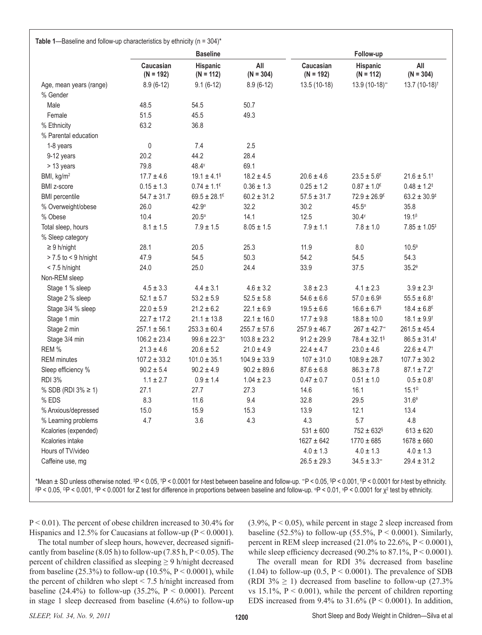|                          | <b>Baseline</b>          |                              |                    | Follow-up                |                             |                             |  |
|--------------------------|--------------------------|------------------------------|--------------------|--------------------------|-----------------------------|-----------------------------|--|
|                          | Caucasian<br>$(N = 192)$ | Hispanic<br>$(N = 112)$      | All<br>$(N = 304)$ | Caucasian<br>$(N = 192)$ | Hispanic<br>$(N = 112)$     | All<br>$(N = 304)$          |  |
| Age, mean years (range)  | $8.9(6-12)$              | $9.1(6-12)$                  | $8.9(6-12)$        | 13.5 (10-18)             | 13.9 (10-18) <sup>®</sup>   | 13.7 (10-18) <sup>†</sup>   |  |
| % Gender                 |                          |                              |                    |                          |                             |                             |  |
| Male                     | 48.5                     | 54.5                         | 50.7               |                          |                             |                             |  |
| Female                   | 51.5                     | 45.5                         | 49.3               |                          |                             |                             |  |
| % Ethnicity              | 63.2                     | 36.8                         |                    |                          |                             |                             |  |
| % Parental education     |                          |                              |                    |                          |                             |                             |  |
| 1-8 years                | 0                        | 7.4                          | 2.5                |                          |                             |                             |  |
| 9-12 years               | 20.2                     | 44.2                         | 28.4               |                          |                             |                             |  |
| > 13 years               | 79.8                     | 48.4Y                        | 69.1               |                          |                             |                             |  |
| BMI, kg/m <sup>2</sup>   | $17.7 \pm 4.6$           | $19.1 \pm 4.1$ <sup>§</sup>  | $18.2 \pm 4.5$     | $20.6 \pm 4.6$           | $23.5 \pm 5.6^{\text{f}}$   | $21.6 \pm 5.1^{\dagger}$    |  |
| <b>BMI</b> z-score       | $0.15 \pm 1.3$           | $0.74 \pm 1.1^{\epsilon}$    | $0.36 \pm 1.3$     | $0.25 \pm 1.2$           | $0.87 \pm 1.0^{\text{f}}$   | $0.48\pm1.2^{\ddagger}$     |  |
| <b>BMI</b> percentile    | $54.7 \pm 31.7$          | $69.5 \pm 28.1$ <sup>£</sup> | $60.2 \pm 31.2$    | $57.5 \pm 31.7$          | $72.9 \pm 26.9^{\text{f}}$  | $63.2 \pm 30.9^{\ddagger}$  |  |
| % Overweight/obese       | 26.0                     | $42.9^\circ$                 | 32.2               | 30.2                     | $45.5^{\circ}$              | 35.8                        |  |
| % Obese                  | 10.4                     | $20.5^{\circ}$               | 14.1               | 12.5                     | $30.4^{\circ}$              | $19.1\beta$                 |  |
| Total sleep, hours       | $8.1 \pm 1.5$            | $7.9 \pm 1.5$                | $8.05 \pm 1.5$     | $7.9 \pm 1.1$            | $7.8 \pm 1.0$               | $7.85\pm1.05^{\ddagger}$    |  |
| % Sleep category         |                          |                              |                    |                          |                             |                             |  |
| $\geq 9$ h/night         | 28.1                     | 20.5                         | 25.3               | 11.9                     | 8.0                         | $10.5^{\theta}$             |  |
| $> 7.5$ to < 9 h/night   | 47.9                     | 54.5                         | 50.3               | 54.2                     | 54.5                        | 54.3                        |  |
| $< 7.5$ h/night          | 24.0                     | 25.0                         | 24.4               | 33.9                     | 37.5                        | $35.2^\theta$               |  |
| Non-REM sleep            |                          |                              |                    |                          |                             |                             |  |
| Stage 1 % sleep          | $4.5 \pm 3.3$            | $4.4 \pm 3.1$                | $4.6 \pm 3.2$      | $3.8 \pm 2.3$            | $4.1 \pm 2.3$               | $3.9 \pm 2.3^{\ddagger}$    |  |
| Stage 2 % sleep          | $52.1 \pm 5.7$           | $53.2 \pm 5.9$               | $52.5 \pm 5.8$     | $54.6 \pm 6.6$           | $57.0 \pm 6.9$ <sup>§</sup> | $55.5\pm6.8^{\dagger}$      |  |
| Stage 3/4 % sleep        | $22.0 \pm 5.9$           | $21.2 \pm 6.2$               | $22.1 \pm 6.9$     | $19.5 \pm 6.6$           | $16.6 \pm 6.7$ <sup>§</sup> | $18.4 \pm 6.8$ <sup>£</sup> |  |
| Stage 1 min              | $22.7 \pm 17.2$          | $21.1 \pm 13.8$              | $22.1 \pm 16.0$    | $17.7 \pm 9.8$           | $18.8 \pm 10.0$             | $18.1 \pm 9.9^{\dagger}$    |  |
| Stage 2 min              | $257.1 \pm 56.1$         | $253.3 \pm 60.4$             | $255.7 \pm 57.6$   | $257.9 \pm 46.7$         | $267 \pm 42.7^{\circ}$      | $261.5 \pm 45.4$            |  |
| Stage 3/4 min            | $106.2 \pm 23.4$         | $99.6 \pm 22.3^{\circ}$      | $103.8 \pm 23.2$   | $91.2 \pm 29.9$          | $78.4 \pm 32.1$ §           | $86.5 \pm 31.4^{\dagger}$   |  |
| REM %                    | $21.3 \pm 4.6$           | $20.6 \pm 5.2$               | $21.0 \pm 4.9$     | $22.4 \pm 4.7$           | $23.0 \pm 4.6$              | $22.6 \pm 4.7$ <sup>t</sup> |  |
| <b>REM</b> minutes       | $107.2 \pm 33.2$         | $101.0 \pm 35.1$             | $104.9 \pm 33.9$   | $107 \pm 31.0$           | $108.9 \pm 28.7$            | $107.7 \pm 30.2$            |  |
| Sleep efficiency %       | $90.2 \pm 5.4$           | $90.2 \pm 4.9$               | $90.2 \pm 89.6$    | $87.6 \pm 6.8$           | $86.3 \pm 7.8$              | $87.1 \pm 7.2$ <sup>t</sup> |  |
| <b>RDI 3%</b>            | $1.1 \pm 2.7$            | $0.9 \pm 1.4$                | $1.04 \pm 2.3$     | $0.47 \pm 0.7$           | $0.51 \pm 1.0$              | $0.5 \pm 0.8$ <sup>†</sup>  |  |
| % SDB (RDI $3\% \ge 1$ ) | 27.1                     | 27.7                         | 27.3               | 14.6                     | 16.1                        | $15.1^{\Omega}$             |  |
| % EDS                    | 8.3                      | 11.6                         | 9.4                | 32.8                     | 29.5                        | 31.6 <sup>0</sup>           |  |
| % Anxious/depressed      | 15.0                     | 15.9                         | 15.3               | 13.9                     | 12.1                        | 13.4                        |  |
| % Learning problems      | 4.7                      | 3.6                          | 4.3                | 4.3                      | 5.7                         | 4.8                         |  |
| Kcalories (expended)     |                          |                              |                    | $531 \pm 600$            | $752 \pm 632$ <sup>§</sup>  | $613 \pm 620$               |  |
| Kcalories intake         |                          |                              |                    | $1627 \pm 642$           | $1770 \pm 685$              | $1678 \pm 660$              |  |
| Hours of TV/video        |                          |                              |                    | $4.0 \pm 1.3$            | $4.0 \pm 1.3$               | $4.0 \pm 1.3$               |  |
| Caffeine use, mg         |                          |                              |                    | $26.5 \pm 29.3$          | $34.5 \pm 3.3^{\circ}$      | $29.4 \pm 31.2$             |  |

\*Mean ± SD unless otherwise noted. ‡P < 0.05, †P < 0.0001 for *t*-test between baseline and follow-up. ∾P < 0.05, \$P < 0.001, £P < 0.0001 for *t*-test by ethnicity. <sup>β</sup>P < 0.05, <sup>Ω</sup>P < 0.001, <sup>θ</sup>P < 0.0001 for Z test for difference in proportions between baseline and follow-up. ºP < 0.01, ೪P < 0.0001 for χ² test by ethnicity.

 $P < 0.01$ ). The percent of obese children increased to 30.4% for Hispanics and 12.5% for Caucasians at follow-up ( $P < 0.0001$ ).

The total number of sleep hours, however, decreased significantly from baseline  $(8.05 \text{ h})$  to follow-up  $(7.85 \text{ h}, P \le 0.05)$ . The percent of children classified as sleeping  $\geq$  9 h/night decreased from baseline (25.3%) to follow-up (10.5%,  $P < 0.0001$ ), while the percent of children who slept < 7.5 h/night increased from baseline (24.4%) to follow-up (35.2%,  $P < 0.0001$ ). Percent in stage 1 sleep decreased from baseline (4.6%) to follow-up  $(3.9\%, P < 0.05)$ , while percent in stage 2 sleep increased from baseline (52.5%) to follow-up (55.5%,  $P < 0.0001$ ). Similarly, percent in REM sleep increased  $(21.0\%$  to  $22.6\%$ ,  $P < 0.0001$ ), while sleep efficiency decreased (90.2% to  $87.1\%$ ,  $P < 0.0001$ ).

The overall mean for RDI 3% decreased from baseline  $(1.04)$  to follow-up  $(0.5, P \le 0.0001)$ . The prevalence of SDB (RDI 3%  $\geq$  1) decreased from baseline to follow-up (27.3%) vs  $15.1\%$ ,  $P < 0.001$ ), while the percent of children reporting EDS increased from 9.4% to 31.6% ( $P < 0.0001$ ). In addition,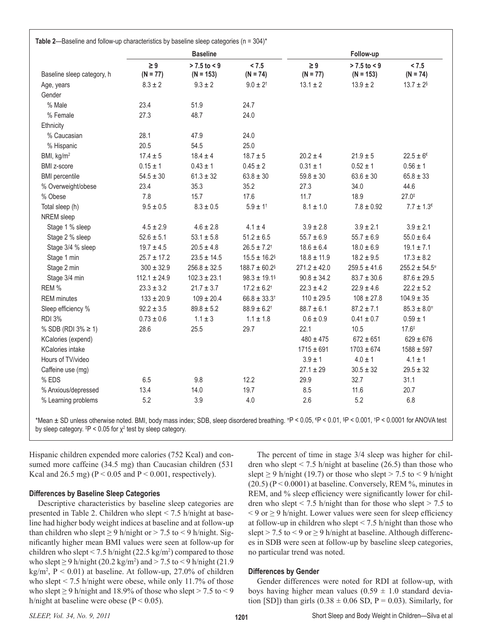|                            | <b>Baseline</b>        |                                 |                              | Follow-up              |                                 |                          |  |
|----------------------------|------------------------|---------------------------------|------------------------------|------------------------|---------------------------------|--------------------------|--|
| Baseline sleep category, h | $\geq 9$<br>$(N = 77)$ | $> 7.5$ to $< 9$<br>$(N = 153)$ | < 7.5<br>$(N = 74)$          | $\geq 9$<br>$(N = 77)$ | $> 7.5$ to $< 9$<br>$(N = 153)$ | < 7.5<br>$(N = 74)$      |  |
| Age, years                 | $8.3\pm2$              | $9.3\pm2$                       | $9.0 \pm 2^{\dagger}$        | $13.1 \pm 2$           | $13.9 \pm 2$                    | $13.7\pm2^\S$            |  |
| Gender                     |                        |                                 |                              |                        |                                 |                          |  |
| % Male                     | 23.4                   | 51.9                            | 24.7                         |                        |                                 |                          |  |
| % Female                   | 27.3                   | 48.7                            | 24.0                         |                        |                                 |                          |  |
| Ethnicity                  |                        |                                 |                              |                        |                                 |                          |  |
| % Caucasian                | 28.1                   | 47.9                            | 24.0                         |                        |                                 |                          |  |
| % Hispanic                 | 20.5                   | 54.5                            | 25.0                         |                        |                                 |                          |  |
| BMI, kg/m <sup>2</sup>     | $17.4 \pm 5$           | $18.4 \pm 4$                    | $18.7 \pm 5$                 | $20.2 \pm 4$           | $21.9 \pm 5$                    | $22.5 \pm 6^{\epsilon}$  |  |
| <b>BMI</b> z-score         | $0.15 \pm 1$           | $0.43 \pm 1$                    | $0.45 \pm 2$                 | $0.31 \pm 1$           | $0.52 \pm 1$                    | $0.56 \pm 1$             |  |
| <b>BMI</b> percentile      | $54.5 \pm 30$          | $61.3 \pm 32$                   | $63.8 \pm 30$                | $59.8 \pm 30$          | $63.6 \pm 30$                   | $65.8 \pm 33$            |  |
| % Overweight/obese         | 23.4                   | 35.3                            | 35.2                         | 27.3                   | 34.0                            | 44.6                     |  |
| % Obese                    | 7.8                    | 15.7                            | 17.6                         | 11.7                   | 18.9                            | $27.0*$                  |  |
| Total sleep (h)            | $9.5 \pm 0.5$          | $8.3 \pm 0.5$                   | $5.9 \pm 1^{\dagger}$        | $8.1 \pm 1.0$          | $7.8 \pm 0.92$                  | $7.7 \pm 1.3^{\epsilon}$ |  |
| NREM sleep                 |                        |                                 |                              |                        |                                 |                          |  |
| Stage 1 % sleep            | $4.5 \pm 2.9$          | $4.6 \pm 2.8$                   | $4.1 \pm 4$                  | $3.9 \pm 2.8$          | $3.9 \pm 2.1$                   | $3.9 \pm 2.1$            |  |
| Stage 2 % sleep            | $52.6 \pm 5.1$         | $53.1 \pm 5.8$                  | $51.2 \pm 6.5$               | $55.7 \pm 6.9$         | $55.7 \pm 6.9$                  | $55.0 \pm 6.4$           |  |
| Stage 3/4 % sleep          | $19.7 \pm 4.5$         | $20.5 \pm 4.8$                  | $26.5 \pm 7.2$ <sup>t</sup>  | $18.6 \pm 6.4$         | $18.0 \pm 6.9$                  | $19.1 \pm 7.1$           |  |
| Stage 1 min                | $25.7 \pm 17.2$        | $23.5 \pm 14.5$                 | $15.5 \pm 16.2$ <sup>§</sup> | $18.8 \pm 11.9$        | $18.2 \pm 9.5$                  | $17.3 \pm 8.2$           |  |
| Stage 2 min                | $300 \pm 32.9$         | $256.8 \pm 32.5$                | $188.7\pm60.2^{\circ}$       | $271.2 \pm 42.0$       | $259.5 \pm 41.6$                | $255.2 \pm 54.5^{\circ}$ |  |
| Stage 3/4 min              | $112.1 \pm 24.9$       | $102.3 \pm 23.1$                | $98.3 \pm 19.1$              | $90.8 \pm 34.2$        | $83.7 \pm 30.6$                 | $87.6 \pm 29.5$          |  |
| REM %                      | $23.3 \pm 3.2$         | $21.7 \pm 3.7$                  | $17.2 \pm 6.2^{\dagger}$     | $22.3 \pm 4.2$         | $22.9 \pm 4.6$                  | $22.2 \pm 5.2$           |  |
| <b>REM</b> minutes         | $133 \pm 20.9$         | $109 \pm 20.4$                  | $66.8 \pm 33.3^{\dagger}$    | $110 \pm 29.5$         | $108 \pm 27.8$                  | $104.9 \pm 35$           |  |
| Sleep efficiency %         | $92.2 \pm 3.5$         | $89.8 \pm 5.2$                  | $88.9 \pm 6.2$ <sup>t</sup>  | $88.7 \pm 6.1$         | $87.2 \pm 7.1$                  | $85.3 \pm 8.0^{\circ}$   |  |
| <b>RDI 3%</b>              | $0.73 \pm 0.6$         | $1.1 \pm 3$                     | $1.1 \pm 1.8$                | $0.6 \pm 0.9$          | $0.41 \pm 0.7$                  | $0.59 \pm 1$             |  |
| % SDB (RDI $3\% \ge 1$ )   | 28.6                   | 25.5                            | 29.7                         | 22.1                   | 10.5                            | $17.6^{\ddagger}$        |  |
| KCalories (expend)         |                        |                                 |                              | $480 \pm 475$          | $672 \pm 651$                   | $629 \pm 676$            |  |
| <b>KCalories intake</b>    |                        |                                 |                              | $1715 \pm 691$         | $1703 \pm 674$                  | $1588 \pm 597$           |  |
| Hours of TV/video          |                        |                                 |                              | $3.9 \pm 1$            | $4.0 \pm 1$                     | $4.1 \pm 1$              |  |
| Caffeine use (mg)          |                        |                                 |                              | $27.1 \pm 29$          | $30.5\pm32$                     | $29.5 \pm 32$            |  |
| % EDS                      | 6.5                    | 9.8                             | 12.2                         | 29.9                   | 32.7                            | 31.1                     |  |
| % Anxious/depressed        | 13.4                   | 14.0                            | 19.7                         | 8.5                    | 11.6                            | 20.7                     |  |
| % Learning problems        | 5.2                    | 3.9                             | 4.0                          | 2.6                    | 5.2                             | 6.8                      |  |

\*Mean ± SD unless otherwise noted. BMI, body mass index; SDB, sleep disordered breathing. "P < 0.05, <sup>€</sup>P < 0.01, <sup>\$P</sup> < 0.001, <sup>†P</sup> < 0.0001 for ANOVA test by sleep category.  $P < 0.05$  for  $\chi^2$  test by sleep category.

Hispanic children expended more calories (752 Kcal) and consumed more caffeine (34.5 mg) than Caucasian children (531) Kcal and 26.5 mg) ( $P < 0.05$  and  $P < 0.001$ , respectively).

#### **Differences by Baseline Sleep Categories**

Descriptive characteristics by baseline sleep categories are presented in Table 2. Children who slept < 7.5 h/night at baseline had higher body weight indices at baseline and at follow-up than children who slept  $\geq$  9 h/night or  $>$  7.5 to  $\lt$  9 h/night. Significantly higher mean BMI values were seen at follow-up for children who slept  $\leq$  7.5 h/night (22.5 kg/m<sup>2</sup>) compared to those who slept  $\geq$  9 h/night (20.2 kg/m<sup>2</sup>) and > 7.5 to < 9 h/night (21.9  $\text{kg/m}^2$ ,  $P < 0.01$ ) at baseline. At follow-up, 27.0% of children who slept  $\leq$  7.5 h/night were obese, while only 11.7% of those who slept  $\geq$  9 h/night and 18.9% of those who slept  $>$  7.5 to < 9 h/night at baseline were obese ( $P < 0.05$ ).

The percent of time in stage 3/4 sleep was higher for children who slept  $\leq$  7.5 h/night at baseline (26.5) than those who slept  $\geq$  9 h/night (19.7) or those who slept  $>$  7.5 to < 9 h/night (20.5) (P < 0.0001) at baseline. Conversely, REM %, minutes in REM, and % sleep efficiency were significantly lower for children who slept  $\leq$  7.5 h/night than for those who slept  $\geq$  7.5 to  $\leq$  9 or  $\geq$  9 h/night. Lower values were seen for sleep efficiency at follow-up in children who slept < 7.5 h/night than those who slept > 7.5 to < 9 or  $\geq$  9 h/night at baseline. Although differences in SDB were seen at follow-up by baseline sleep categories, no particular trend was noted.

#### **Differences by Gender**

Gender differences were noted for RDI at follow-up, with boys having higher mean values  $(0.59 \pm 1.0)$  standard deviation [SD]) than girls  $(0.38 \pm 0.06 \text{ SD}, P = 0.03)$ . Similarly, for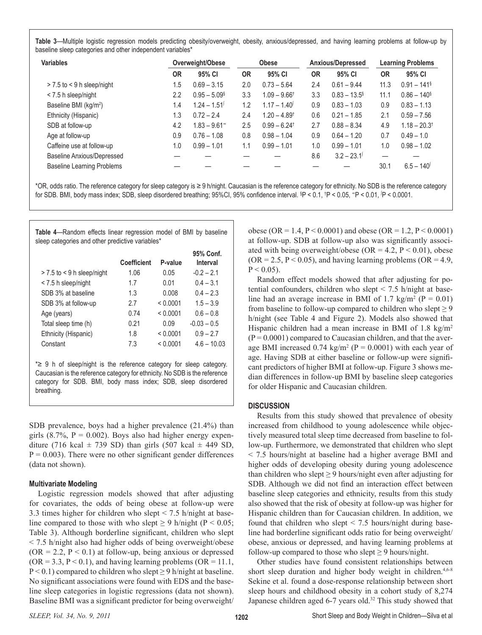**Table 3**—Multiple logistic regression models predicting obesity/overweight, obesity, anxious/depressed, and having learning problems at follow-up by baseline sleep categories and other independent variables\*

| <b>Variables</b>                  |           | Overweight/Obese           |           | <b>Obese</b>            |           | Anxious/Depressed          |           | <b>Learning Problems</b>   |
|-----------------------------------|-----------|----------------------------|-----------|-------------------------|-----------|----------------------------|-----------|----------------------------|
|                                   | <b>OR</b> | 95% CI                     | <b>OR</b> | 95% CI                  | <b>OR</b> | 95% CI                     | <b>OR</b> | 95% CI                     |
| $> 7.5$ to $< 9$ h sleep/night    | 1.5       | $0.69 - 3.15$              | 2.0       | $0.73 - 5.64$           | 2.4       | $0.61 - 9.44$              | 11.3      | $0.91 - 141$ <sup>§</sup>  |
| $<$ 7.5 h sleep/night             | 2.2       | $0.95 - 5.09$ <sup>§</sup> | 3.3       | $1.09 - 9.66^{\dagger}$ | 3.3       | $0.83 - 13.5$ <sup>§</sup> | 11.1      | $0.86 - 140$ <sup>§</sup>  |
| Baseline BMI (kg/m <sup>2</sup> ) | 1.4       | $1.24 - 1.51$              | 1.2       | $1.17 - 1.40$           | 0.9       | $0.83 - 1.03$              | 0.9       | $0.83 - 1.13$              |
| Ethnicity (Hispanic)              | 1.3       | $0.72 - 2.4$               | 2.4       | $1.20 - 4.89^{\dagger}$ | 0.6       | $0.21 - 1.85$              | 2.1       | $0.59 - 7.56$              |
| SDB at follow-up                  | 4.2       | $1.83 - 9.61$ <sup>*</sup> | 2.5       | $0.99 - 6.24^{\dagger}$ | 2.7       | $0.88 - 8.34$              | 4.9       | $1.18 - 20.3$ <sup>†</sup> |
| Age at follow-up                  | 0.9       | $0.76 - 1.08$              | 0.8       | $0.98 - 1.04$           | 0.9       | $0.64 - 1.20$              | 0.7       | $0.49 - 1.0$               |
| Caffeine use at follow-up         | 1.0       | $0.99 - 1.01$              | 1.1       | $0.99 - 1.01$           | 1.0       | $0.99 - 1.01$              | 1.0       | $0.98 - 1.02$              |
| <b>Baseline Anxious/Depressed</b> |           |                            |           |                         | 8.6       | $3.2 - 23.1$               |           |                            |
| <b>Baseline Learning Problems</b> |           |                            |           |                         |           |                            | 30.1      | $6.5 - 140$                |

\*OR, odds ratio. The reference category for sleep category is ≥ 9 h/night. Caucasian is the reference category for ethnicity. No SDB is the reference category for SDB. BMI, body mass index; SDB, sleep disordered breathing; 95%CI, 95% confidence interval. §P < 0.1, †P < 0.05, ◎P < 0.01, <sup>∤p</sup> < 0.0001.

**Table 4**—Random effects linear regression model of BMI by baseline sleep categories and other predictive variables\*

|                                | <b>Coefficient</b> | P-value  | 95% Conf.<br>Interval |
|--------------------------------|--------------------|----------|-----------------------|
| $> 7.5$ to $< 9$ h sleep/night | 1.06               | 0.05     | $-0.2 - 2.1$          |
| < 7.5 h sleep/night            | 1.7                | 0.01     | $0.4 - 3.1$           |
| SDB 3% at baseline             | 1.3                | 0.008    | $0.4 - 2.3$           |
| SDB 3% at follow-up            | 2.7                | < 0.0001 | $1.5 - 3.9$           |
| Age (years)                    | 0.74               | < 0.0001 | $0.6 - 0.8$           |
| Total sleep time (h)           | 0.21               | 0.09     | $-0.03 - 0.5$         |
| Ethnicity (Hispanic)           | 1.8                | < 0.0001 | $0.9 - 2.7$           |
| Constant                       | 7.3                | < 0.0001 | $4.6 - 10.03$         |

\*≥ 9 h of sleep/night is the reference category for sleep category. Caucasian is the reference category for ethnicity. No SDB is the reference category for SDB. BMI, body mass index; SDB, sleep disordered breathing.

SDB prevalence, boys had a higher prevalence (21.4%) than girls  $(8.7\%, P = 0.002)$ . Boys also had higher energy expenditure (716 kcal  $\pm$  739 SD) than girls (507 kcal  $\pm$  449 SD,  $P = 0.003$ ). There were no other significant gender differences (data not shown).

#### **Multivariate Modeling**

Logistic regression models showed that after adjusting for covariates, the odds of being obese at follow-up were 3.3 times higher for children who slept < 7.5 h/night at baseline compared to those with who slept  $\geq 9$  h/night (P < 0.05; Table 3). Although borderline significant, children who slept < 7.5 h/night also had higher odds of being overweight/obese  $(OR = 2.2, P < 0.1)$  at follow-up, being anxious or depressed  $(OR = 3.3, P < 0.1)$ , and having learning problems  $(OR = 11.1,$  $P < 0.1$ ) compared to children who slept  $\ge 9$  h/night at baseline. No significant associations were found with EDS and the baseline sleep categories in logistic regressions (data not shown). Baseline BMI was a significant predictor for being overweight/

obese (OR = 1.4,  $P < 0.0001$ ) and obese (OR = 1.2,  $P < 0.0001$ ) at follow-up. SDB at follow-up also was significantly associated with being overweight/obese (OR =  $4.2$ , P < 0.01), obese  $(OR = 2.5, P < 0.05)$ , and having learning problems  $(OR = 4.9, P = 0.05)$  $P < 0.05$ ).

Random effect models showed that after adjusting for potential confounders, children who slept  $\leq$  7.5 h/night at baseline had an average increase in BMI of 1.7 kg/m<sup>2</sup> ( $P = 0.01$ ) from baseline to follow-up compared to children who slept  $\geq 9$ h/night (see Table 4 and Figure 2). Models also showed that Hispanic children had a mean increase in BMI of 1.8 kg/m<sup>2</sup>  $(P = 0.0001)$  compared to Caucasian children, and that the average BMI increased  $0.74 \text{ kg/m}^2$  (P = 0.0001) with each year of age. Having SDB at either baseline or follow-up were significant predictors of higher BMI at follow-up. Figure 3 shows median differences in follow-up BMI by baseline sleep categories for older Hispanic and Caucasian children.

#### **DISCUSSION**

Results from this study showed that prevalence of obesity increased from childhood to young adolescence while objectively measured total sleep time decreased from baseline to follow-up. Furthermore, we demonstrated that children who slept < 7.5 hours/night at baseline had a higher average BMI and higher odds of developing obesity during young adolescence than children who slept  $\geq$  9 hours/night even after adjusting for SDB. Although we did not find an interaction effect between baseline sleep categories and ethnicity, results from this study also showed that the risk of obesity at follow-up was higher for Hispanic children than for Caucasian children. In addition, we found that children who slept  $\leq$  7.5 hours/night during baseline had borderline significant odds ratio for being overweight/ obese, anxious or depressed, and having learning problems at follow-up compared to those who slept  $\geq$  9 hours/night.

Other studies have found consistent relationships between short sleep duration and higher body weight in children.<sup>4,6-8</sup> Sekine et al. found a dose-response relationship between short sleep hours and childhood obesity in a cohort study of 8,274 Japanese children aged 6-7 years old.32 This study showed that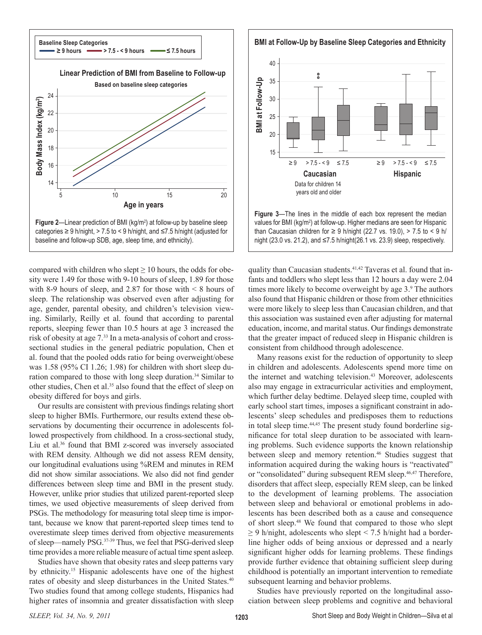

compared with children who slept  $\geq 10$  hours, the odds for obesity were 1.49 for those with 9-10 hours of sleep, 1.89 for those with 8-9 hours of sleep, and 2.87 for those with  $\leq 8$  hours of sleep. The relationship was observed even after adjusting for age, gender, parental obesity, and children's television viewing. Similarly, Reilly et al. found that according to parental reports, sleeping fewer than 10.5 hours at age 3 increased the risk of obesity at age 7.33 In a meta-analysis of cohort and crosssectional studies in the general pediatric population, Chen et al. found that the pooled odds ratio for being overweight/obese was 1.58 (95% CI 1.26; 1.98) for children with short sleep duration compared to those with long sleep duration.<sup>34</sup> Similar to other studies, Chen et al.<sup>35</sup> also found that the effect of sleep on obesity differed for boys and girls.

Our results are consistent with previous findings relating short sleep to higher BMIs. Furthermore, our results extend these observations by documenting their occurrence in adolescents followed prospectively from childhood. In a cross-sectional study, Liu et al.<sup>36</sup> found that BMI z-scored was inversely associated with REM density. Although we did not assess REM density, our longitudinal evaluations using %REM and minutes in REM did not show similar associations. We also did not find gender differences between sleep time and BMI in the present study. However, unlike prior studies that utilized parent-reported sleep times, we used objective measurements of sleep derived from PSGs. The methodology for measuring total sleep time is important, because we know that parent-reported sleep times tend to overestimate sleep times derived from objective measurements of sleep—namely PSG.<sup>37-39</sup> Thus, we feel that PSG-derived sleep time provides a more reliable measure of actual time spent asleep.

Studies have shown that obesity rates and sleep patterns vary by ethnicity.15 Hispanic adolescents have one of the highest rates of obesity and sleep disturbances in the United States.<sup>40</sup> Two studies found that among college students, Hispanics had higher rates of insomnia and greater dissatisfaction with sleep

**BMI at Follow-Up by Baseline Sleep Categories and Ethnicity**



values for BMI (kg/m<sup>2</sup>) at follow-up. Higher medians are seen for Hispanic than Caucasian children for  $\geq 9$  h/night (22.7 vs. 19.0),  $> 7.5$  to < 9 h/ night (23.0 vs. 21.2), and ≤7.5 h/night(26.1 vs. 23.9) sleep, respectively.

quality than Caucasian students.<sup>41,42</sup> Taveras et al. found that infants and toddlers who slept less than 12 hours a day were 2.04 times more likely to become overweight by age 3.<sup>9</sup> The authors also found that Hispanic children or those from other ethnicities were more likely to sleep less than Caucasian children, and that this association was sustained even after adjusting for maternal education, income, and marital status. Our findings demonstrate that the greater impact of reduced sleep in Hispanic children is consistent from childhood through adolescence.

Many reasons exist for the reduction of opportunity to sleep in children and adolescents. Adolescents spend more time on the internet and watching television.<sup>43</sup> Moreover, adolescents also may engage in extracurricular activities and employment, which further delay bedtime. Delayed sleep time, coupled with early school start times, imposes a significant constraint in adolescents' sleep schedules and predisposes them to reductions in total sleep time.<sup>44,45</sup> The present study found borderline significance for total sleep duration to be associated with learning problems. Such evidence supports the known relationship between sleep and memory retention.<sup>46</sup> Studies suggest that information acquired during the waking hours is "reactivated" or "consolidated" during subsequent REM sleep.<sup>46,47</sup> Therefore, disorders that affect sleep, especially REM sleep, can be linked to the development of learning problems. The association between sleep and behavioral or emotional problems in adolescents has been described both as a cause and consequence of short sleep.48 We found that compared to those who slept  $\geq$  9 h/night, adolescents who slept < 7.5 h/night had a borderline higher odds of being anxious or depressed and a nearly significant higher odds for learning problems. These findings provide further evidence that obtaining sufficient sleep during childhood is potentially an important intervention to remediate subsequent learning and behavior problems.

Studies have previously reported on the longitudinal association between sleep problems and cognitive and behavioral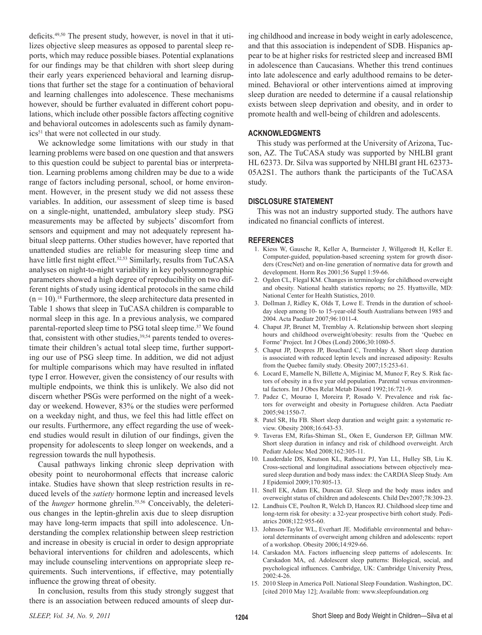deficits.49,50 The present study, however, is novel in that it utilizes objective sleep measures as opposed to parental sleep reports, which may reduce possible biases. Potential explanations for our findings may be that children with short sleep during their early years experienced behavioral and learning disruptions that further set the stage for a continuation of behavioral and learning challenges into adolescence. These mechanisms however, should be further evaluated in different cohort populations, which include other possible factors affecting cognitive and behavioral outcomes in adolescents such as family dynamics<sup>51</sup> that were not collected in our study.

We acknowledge some limitations with our study in that learning problems were based on one question and that answers to this question could be subject to parental bias or interpretation. Learning problems among children may be due to a wide range of factors including personal, school, or home environment. However, in the present study we did not assess these variables. In addition, our assessment of sleep time is based on a single-night, unattended, ambulatory sleep study. PSG measurements may be affected by subjects' discomfort from sensors and equipment and may not adequately represent habitual sleep patterns. Other studies however, have reported that unattended studies are reliable for measuring sleep time and have little first night effect.<sup>52,53</sup> Similarly, results from TuCASA analyses on night-to-night variability in key polysomnographic parameters showed a high degree of reproducibility on two different nights of study using identical protocols in the same child  $(n = 10)$ .<sup>18</sup> Furthermore, the sleep architecture data presented in Table 1 shows that sleep in TuCASA children is comparable to normal sleep in this age. In a previous analysis, we compared parental-reported sleep time to PSG total sleep time.<sup>37</sup> We found that, consistent with other studies,<sup>39,54</sup> parents tended to overestimate their children's actual total sleep time, further supporting our use of PSG sleep time. In addition, we did not adjust for multiple comparisons which may have resulted in inflated type I error. However, given the consistency of our results with multiple endpoints, we think this is unlikely. We also did not discern whether PSGs were performed on the night of a weekday or weekend. However, 83% or the studies were performed on a weekday night, and thus, we feel this had little effect on our results. Furthermore, any effect regarding the use of weekend studies would result in dilution of our findings, given the propensity for adolescents to sleep longer on weekends, and a regression towards the null hypothesis.

Causal pathways linking chronic sleep deprivation with obesity point to neurohormonal effects that increase caloric intake. Studies have shown that sleep restriction results in reduced levels of the *satiety* hormone leptin and increased levels of the *hunger* hormone ghrelin.55,56 Conceivably, the deleterious changes in the leptin-ghrelin axis due to sleep disruption may have long-term impacts that spill into adolescence. Understanding the complex relationship between sleep restriction and increase in obesity is crucial in order to design appropriate behavioral interventions for children and adolescents, which may include counseling interventions on appropriate sleep requirements. Such interventions, if effective, may potentially influence the growing threat of obesity.

In conclusion, results from this study strongly suggest that there is an association between reduced amounts of sleep dur-

ing childhood and increase in body weight in early adolescence, and that this association is independent of SDB. Hispanics appear to be at higher risks for restricted sleep and increased BMI in adolescence than Caucasians. Whether this trend continues into late adolescence and early adulthood remains to be determined. Behavioral or other interventions aimed at improving sleep duration are needed to determine if a causal relationship exists between sleep deprivation and obesity, and in order to promote health and well-being of children and adolescents.

#### **ACKNOWLEDGMENTS**

This study was performed at the University of Arizona, Tucson, AZ. The TuCASA study was supported by NHLBI grant HL 62373. Dr. Silva was supported by NHLBI grant HL 62373- 05A2S1. The authors thank the participants of the TuCASA study.

#### **DISCLOSURE STATEMENT**

This was not an industry supported study. The authors have indicated no financial conflicts of interest.

#### **REFERENCES**

- 1. Kiess W, Gausche R, Keller A, Burmeister J, Willgerodt H, Keller E. Computer-guided, population-based screening system for growth disorders (CrescNet) and on-line generation of normative data for growth and development. Horm Res 2001;56 Suppl 1:59-66.
- 2. Ogden CL, Flegal KM. Changes in terminology for childhood overweight and obesity. National health statistics reports; no 25. Hyattsville, MD: National Center for Health Statistics, 2010.
- 3. Dollman J, Ridley K, Olds T, Lowe E. Trends in the duration of schoolday sleep among 10- to 15-year-old South Australians between 1985 and 2004. Acta Paediatr 2007;96:1011-4.
- 4. Chaput JP, Brunet M, Tremblay A. Relationship between short sleeping hours and childhood overweight/obesity: results from the 'Quebec en Forme' Project. Int J Obes (Lond) 2006;30:1080-5.
- 5. Chaput JP, Despres JP, Bouchard C, Tremblay A. Short sleep duration is associated with reduced leptin levels and increased adiposity: Results from the Quebec family study. Obesity 2007;15:253-61.
- 6. Locard E, Mamelle N, Billette A, Miginiac M, Munoz F, Rey S. Risk factors of obesity in a five year old population. Parental versus environmental factors. Int J Obes Relat Metab Disord 1992;16:721-9.
- 7. Padez C, Mourao I, Moreira P, Rosado V. Prevalence and risk factors for overweight and obesity in Portuguese children. Acta Paediatr 2005;94:1550-7.
- 8. Patel SR, Hu FB. Short sleep duration and weight gain: a systematic review. Obesity 2008;16:643-53.
- 9. Taveras EM, Rifas-Shiman SL, Oken E, Gunderson EP, Gillman MW. Short sleep duration in infancy and risk of childhood overweight. Arch Pediatr Adolesc Med 2008;162:305-11.
- 10. Lauderdale DS, Knutson KL, Rathouz PJ, Yan LL, Hulley SB, Liu K. Cross-sectional and longitudinal associations between objectively measured sleep duration and body mass index: the CARDIA Sleep Study. Am J Epidemiol 2009;170:805-13.
- 11. Snell EK, Adam EK, Duncan GJ. Sleep and the body mass index and overweight status of children and adolescents. Child Dev2007;78:309-23.
- 12. Landhuis CE, Poulton R, Welch D, Hancox RJ. Childhood sleep time and long-term risk for obesity: a 32-year prospective birth cohort study. Pediatrics 2008;122:955-60.
- 13. Johnson-Taylor WL, Everhart JE. Modifiable environmental and behavioral determinants of overweight among children and adolescents: report of a workshop. Obesity 2006;14:929-66.
- 14. Carskadon MA. Factors influencing sleep patterns of adolescents. In: Carskadon MA, ed. Adolescent sleep patterns: Biological, social, and psychological influences. Cambridge, UK: Cambridge University Press, 2002:4-26.
- 15. 2010 Sleep in America Poll. National Sleep Foundation. Washington, DC. [cited 2010 May 12]; Available from: www.sleepfoundation.org